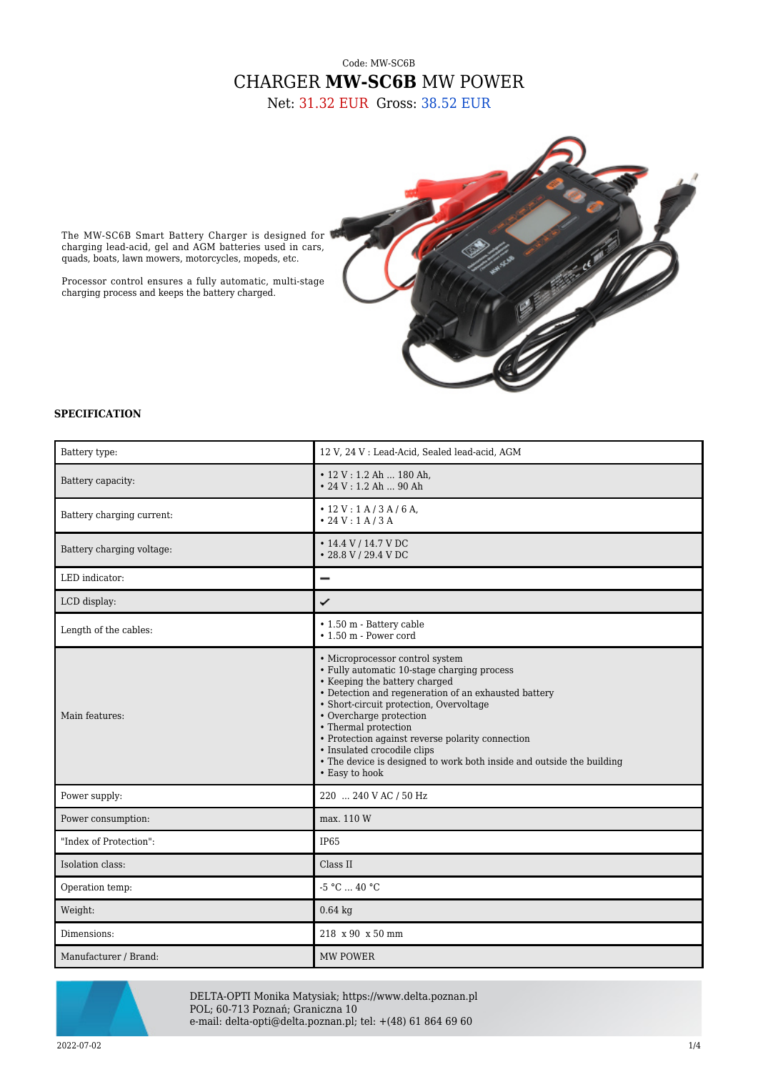## Code: MW-SC6B CHARGER **MW-SC6B** MW POWER

Net: 31.32 EUR Gross: 38.52 EUR



The MW-SC6B Smart Battery Charger is designed for charging lead-acid, gel and AGM batteries used in cars, quads, boats, lawn mowers, motorcycles, mopeds, etc.

Processor control ensures a fully automatic, multi-stage charging process and keeps the battery charged.

## **SPECIFICATION**

| Battery type:             | 12 V, 24 V : Lead-Acid, Sealed lead-acid, AGM                                                                                                                                                                                                                                                                                                                                                                                                       |
|---------------------------|-----------------------------------------------------------------------------------------------------------------------------------------------------------------------------------------------------------------------------------------------------------------------------------------------------------------------------------------------------------------------------------------------------------------------------------------------------|
| Battery capacity:         | $\cdot$ 12 V : 1.2 Ah  180 Ah,<br>$\cdot$ 24 V : 1.2 Ah  90 Ah                                                                                                                                                                                                                                                                                                                                                                                      |
| Battery charging current: | $\cdot$ 12 V : 1 A / 3 A / 6 A,<br>• 24 V : 1 A / 3 A                                                                                                                                                                                                                                                                                                                                                                                               |
| Battery charging voltage: | $\cdot$ 14.4 V / 14.7 V DC<br>• 28.8 V / 29.4 V DC                                                                                                                                                                                                                                                                                                                                                                                                  |
| LED indicator:            | -                                                                                                                                                                                                                                                                                                                                                                                                                                                   |
| LCD display:              | ✓                                                                                                                                                                                                                                                                                                                                                                                                                                                   |
| Length of the cables:     | • 1.50 m - Battery cable<br>$\cdot$ 1.50 m - Power cord                                                                                                                                                                                                                                                                                                                                                                                             |
| Main features:            | • Microprocessor control system<br>• Fully automatic 10-stage charging process<br>• Keeping the battery charged<br>• Detection and regeneration of an exhausted battery<br>• Short-circuit protection, Overvoltage<br>• Overcharge protection<br>• Thermal protection<br>• Protection against reverse polarity connection<br>• Insulated crocodile clips<br>• The device is designed to work both inside and outside the building<br>• Easy to hook |
| Power supply:             | 220  240 V AC / 50 Hz                                                                                                                                                                                                                                                                                                                                                                                                                               |
| Power consumption:        | max. 110 W                                                                                                                                                                                                                                                                                                                                                                                                                                          |
| "Index of Protection":    | IP65                                                                                                                                                                                                                                                                                                                                                                                                                                                |
| Isolation class:          | Class II                                                                                                                                                                                                                                                                                                                                                                                                                                            |
| Operation temp:           | $-5 °C  40 °C$                                                                                                                                                                                                                                                                                                                                                                                                                                      |
| Weight:                   | $0.64$ kg                                                                                                                                                                                                                                                                                                                                                                                                                                           |
| Dimensions:               | 218 x 90 x 50 mm                                                                                                                                                                                                                                                                                                                                                                                                                                    |
| Manufacturer / Brand:     | MW POWER                                                                                                                                                                                                                                                                                                                                                                                                                                            |



DELTA-OPTI Monika Matysiak; https://www.delta.poznan.pl POL; 60-713 Poznań; Graniczna 10 e-mail: delta-opti@delta.poznan.pl; tel: +(48) 61 864 69 60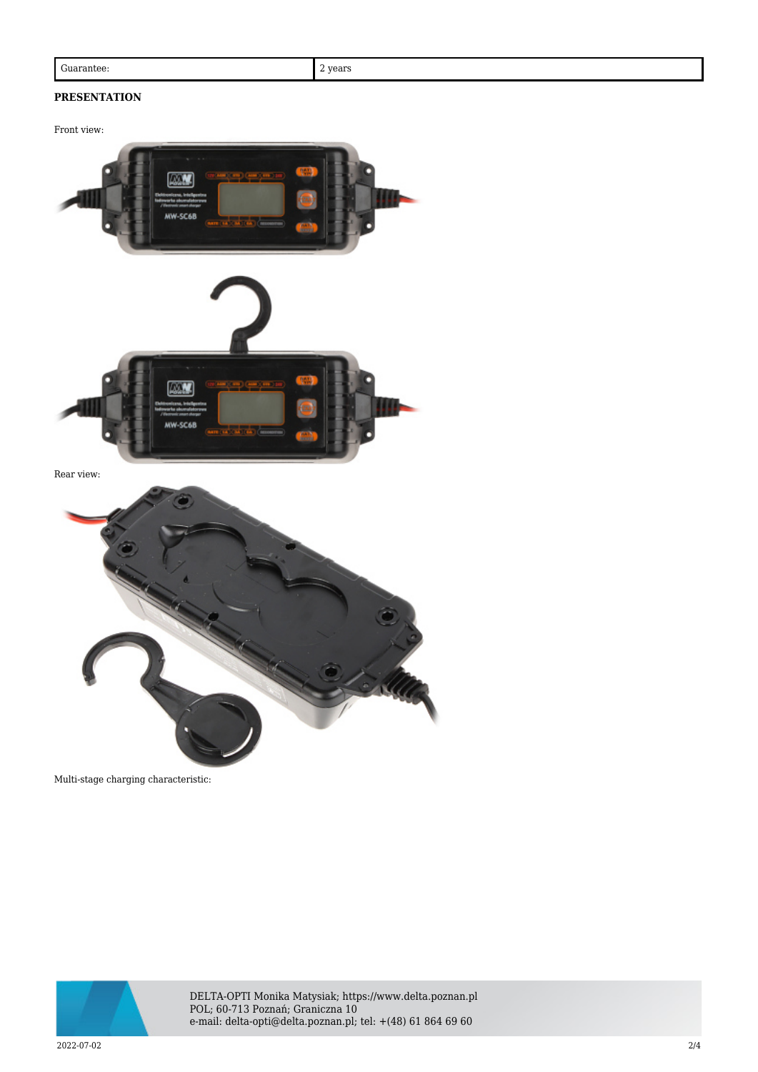## **PRESENTATION**

Front view:



Rear view:



Multi-stage charging characteristic:



DELTA-OPTI Monika Matysiak; https://www.delta.poznan.pl POL; 60-713 Poznań; Graniczna 10 e-mail: delta-opti@delta.poznan.pl; tel: +(48) 61 864 69 60

2022-07-02 2/4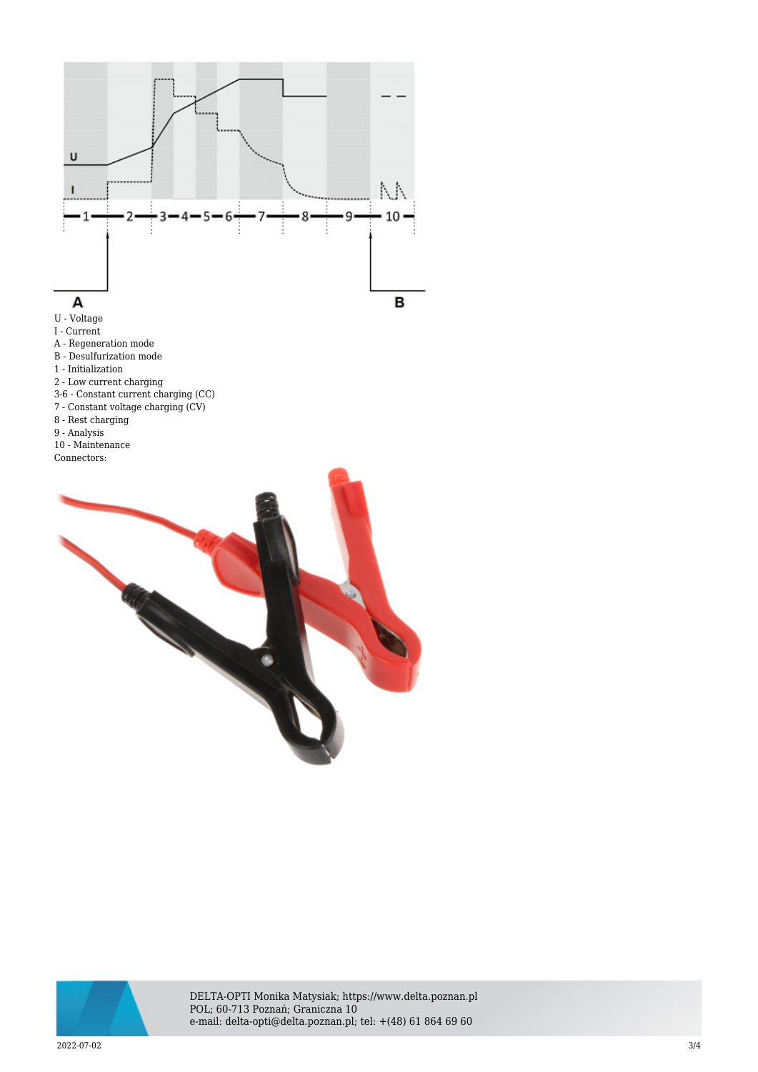

U - Voltage

I - Current

- A Regeneration mode
- B Desulfurization mode
- 1 Initialization
- 2 Low current charging
- 3-6 Constant current charging (CC)
- 7 Constant voltage charging (CV)
- 8 Rest charging
- 9 Analysis
- 10 Maintenance
- Connectors:





DELTA-OPTI Monika Matysiak; https://www.delta.poznan.pl POL; 60-713 Poznań; Graniczna 10 e-mail: delta-opti@delta.poznan.pl; tel: +(48) 61 864 69 60

 $2022$ -07-02  $3/4$